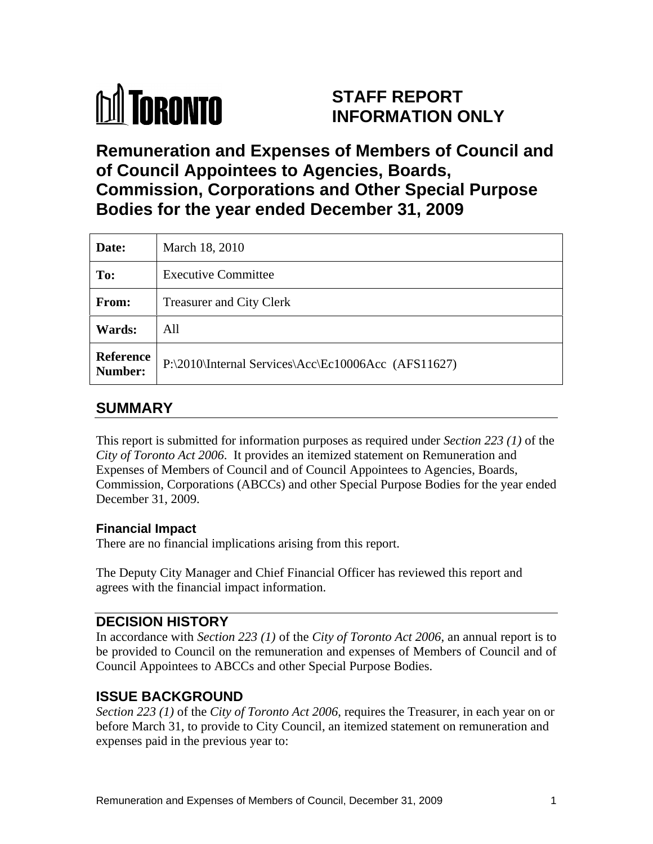

# **STAFF REPORT INFORMATION ONLY**

# **Remuneration and Expenses of Members of Council and of Council Appointees to Agencies, Boards, Commission, Corporations and Other Special Purpose Bodies for the year ended December 31, 2009**

| Date:         | March 18, 2010                                                |
|---------------|---------------------------------------------------------------|
| To:           | <b>Executive Committee</b>                                    |
| From:         | <b>Treasurer and City Clerk</b>                               |
| <b>Wards:</b> | All                                                           |
|               | Reference P:\2010\Internal Services\Acc\Ec10006Acc (AFS11627) |

## **SUMMARY**

This report is submitted for information purposes as required under *Section 223 (1)* of the *City of Toronto Act 2006*. It provides an itemized statement on Remuneration and Expenses of Members of Council and of Council Appointees to Agencies, Boards, Commission, Corporations (ABCCs) and other Special Purpose Bodies for the year ended December 31, 2009.

### **Financial Impact**

There are no financial implications arising from this report.

The Deputy City Manager and Chief Financial Officer has reviewed this report and agrees with the financial impact information.

### **DECISION HISTORY**

In accordance with *Section 223 (1)* of the *City of Toronto Act 2006*, an annual report is to be provided to Council on the remuneration and expenses of Members of Council and of Council Appointees to ABCCs and other Special Purpose Bodies.

### **ISSUE BACKGROUND**

*Section 223 (1)* of the *City of Toronto Act 2006*, requires the Treasurer, in each year on or before March 31, to provide to City Council, an itemized statement on remuneration and expenses paid in the previous year to: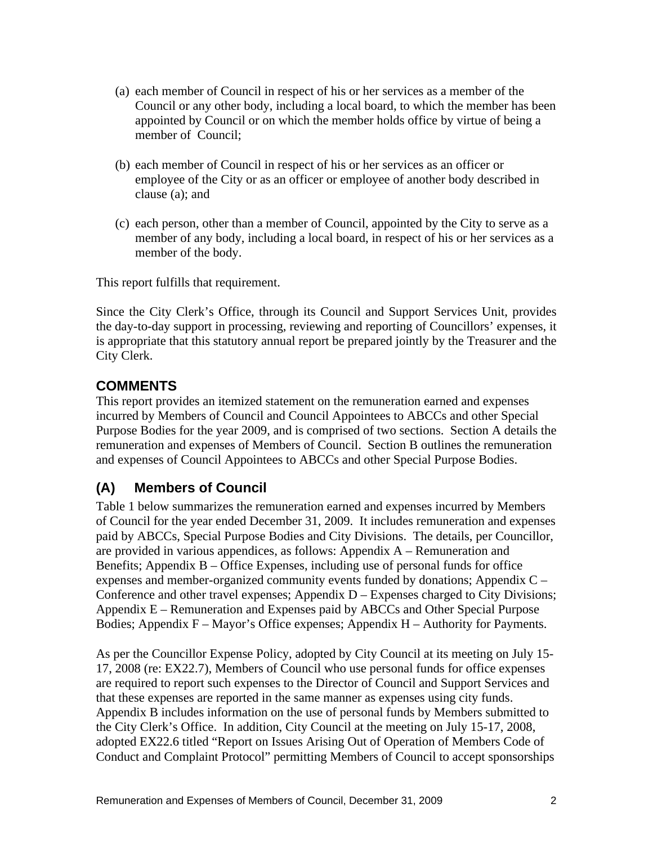- (a) each member of Council in respect of his or her services as a member of the Council or any other body, including a local board, to which the member has been appointed by Council or on which the member holds office by virtue of being a member of Council;
- (b) each member of Council in respect of his or her services as an officer or employee of the City or as an officer or employee of another body described in clause (a); and
- (c) each person, other than a member of Council, appointed by the City to serve as a member of any body, including a local board, in respect of his or her services as a member of the body.

This report fulfills that requirement.

Since the City Clerk's Office, through its Council and Support Services Unit, provides the day-to-day support in processing, reviewing and reporting of Councillors' expenses, it is appropriate that this statutory annual report be prepared jointly by the Treasurer and the City Clerk.

## **COMMENTS**

This report provides an itemized statement on the remuneration earned and expenses incurred by Members of Council and Council Appointees to ABCCs and other Special Purpose Bodies for the year 2009, and is comprised of two sections. Section A details the remuneration and expenses of Members of Council. Section B outlines the remuneration and expenses of Council Appointees to ABCCs and other Special Purpose Bodies.

## **(A) Members of Council**

Table 1 below summarizes the remuneration earned and expenses incurred by Members of Council for the year ended December 31, 2009. It includes remuneration and expenses paid by ABCCs, Special Purpose Bodies and City Divisions. The details, per Councillor, are provided in various appendices, as follows: Appendix A – Remuneration and Benefits; Appendix B – Office Expenses, including use of personal funds for office expenses and member-organized community events funded by donations; Appendix C – Conference and other travel expenses; Appendix  $D -$ Expenses charged to City Divisions; Appendix E – Remuneration and Expenses paid by ABCCs and Other Special Purpose Bodies; Appendix F – Mayor's Office expenses; Appendix H – Authority for Payments.

As per the Councillor Expense Policy, adopted by City Council at its meeting on July 15- 17, 2008 (re: EX22.7), Members of Council who use personal funds for office expenses are required to report such expenses to the Director of Council and Support Services and that these expenses are reported in the same manner as expenses using city funds. Appendix B includes information on the use of personal funds by Members submitted to the City Clerk's Office. In addition, City Council at the meeting on July 15-17, 2008, adopted EX22.6 titled "Report on Issues Arising Out of Operation of Members Code of Conduct and Complaint Protocol" permitting Members of Council to accept sponsorships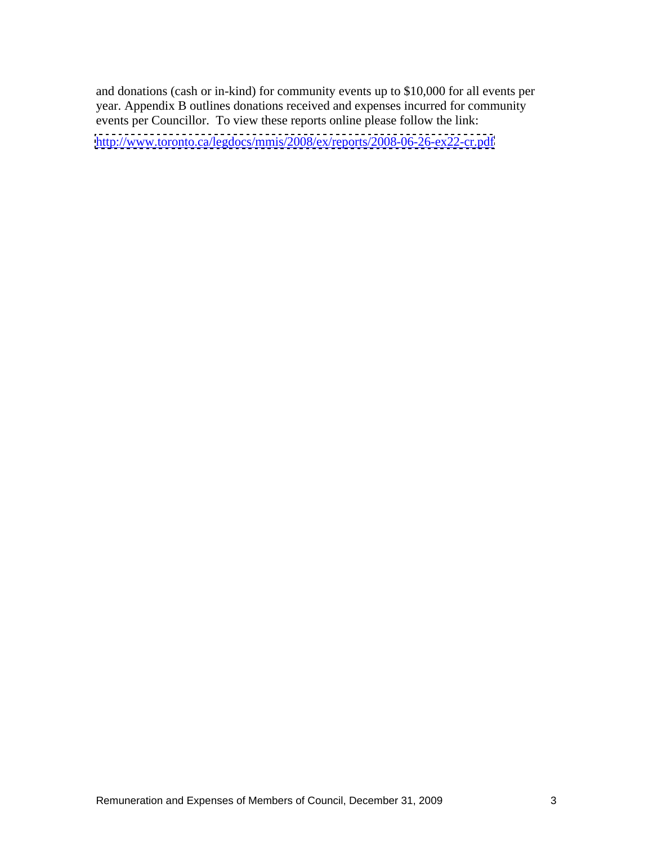and donations (cash or in-kind) for community events up to \$10,000 for all events per year. Appendix B outlines donations received and expenses incurred for community events per Councillor. To view these reports online please follow the link:

<http://www.toronto.ca/legdocs/mmis/2008/ex/reports/2008-06-26-ex22-cr.pdf>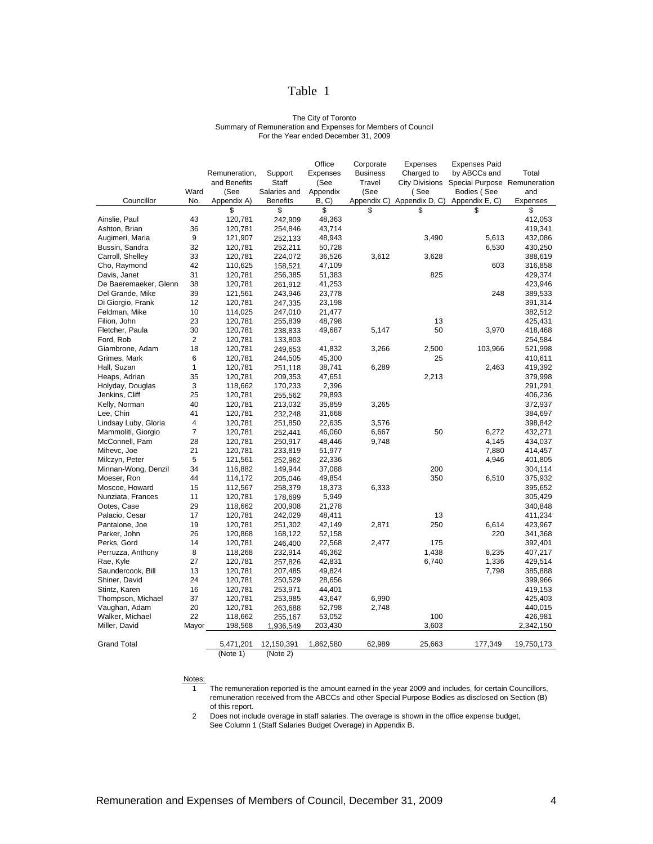### Table 1

### The City of Toronto Summary of Remuneration and Expenses for Members of Council For the Year ended December 31, 2009

|                       |              |                                          |                             | Office           | Corporate | Expenses | Expenses Paid                               |                     |
|-----------------------|--------------|------------------------------------------|-----------------------------|------------------|-----------|----------|---------------------------------------------|---------------------|
|                       |              | Remuneration,                            | Support                     | Expenses         | Business  |          | Charged to by ABCCs and                     | Total               |
|                       |              | and Benefits                             | Staff                       | (See             | Travel    |          | City Divisions Special Purpose Remuneration |                     |
|                       | Ward         | (See                                     | Salaries and Appendix       |                  | (See      | (See     | Bodies (See                                 | and                 |
| Councillor            |              | No. Appendix A)                          | <b>Benefits</b>             | B, C             |           |          | Appendix C) Appendix D, C) Appendix E, C)   | Expenses            |
|                       |              |                                          |                             |                  |           |          |                                             | <b>S</b>            |
| Ainslie, Paul         | 43           | 120,781                                  | 242,909                     | 48,363           |           |          |                                             | 412,053             |
| Ashton, Brian         | -36          | 120,781                                  | 254,846                     | 43,714           |           |          |                                             | 419,341             |
| Augimeri, Maria       | $\mathbf{q}$ | 121,907                                  | 252,133                     | 48,943           |           | 3,490    | 5,613                                       | 432,086             |
| Bussin, Sandra        | 32           | 120,781                                  | 252,211                     | 50,728           |           |          | 6,530                                       | 430,250             |
| Carroll, Shelley      | 33           | 120,781                                  | 224,072                     | 36,526           | 3,612     | 3,628    |                                             | 388,619             |
| Cho, Raymond          | 42           | 110,625                                  | 158,521                     | 47,109           |           |          | 603                                         | 316,858             |
| Davis, Janet          |              | 120,781                                  | 256,385                     | 51,383           |           | 825      |                                             | 429,374             |
| De Baeremaeker, Glenn | - 38         | 120,781                                  | 261,912                     | 41,253           |           |          |                                             | 423,946             |
| Del Grande, Mike      | -39          | 121,561                                  | 243,946                     | 23,778           |           |          | 248                                         | 389,533             |
| Di Giorgio, Frank     | 12           | 120,781                                  | 247,335                     | 23,198           |           |          |                                             | 391,314             |
| Feldman, Mike         | 10           | 114,025                                  | 247,010                     | 21,477           |           |          |                                             | 382,512             |
| Filion, John          | 23           | 120,781                                  | 255,839                     | 48,798           |           | 13       |                                             | 425,431             |
| Fletcher, Paula       | 30           | 120,781                                  | 238,833                     | 49,687           | 5,147     | 50       | 3,970                                       | 418,468             |
| Ford, Rob             |              | 120,781                                  | 133,803                     | $\sim$ 100 $\pm$ |           |          |                                             | 254,584             |
| Giambrone, Adam       | 18           | 120,781                                  | 249,653                     | 41,832           | 3,266     | 2,500    | 103,966                                     | 521,998             |
| Grimes, Mark          |              | 120,781                                  | 244,505                     | 45,300           |           | 25       |                                             | 410,611             |
| Hall, Suzan           |              | 120,781                                  | 251,118                     | 38,741           | 6,289     |          | 2,463                                       | 419,392             |
| Heaps, Adrian         | 35           | 120,781                                  | 209,353                     | 47,651           |           | 2,213    |                                             | 379,998             |
| Holyday, Douglas      |              | 118,662                                  | 170,233                     | 2,396            |           |          |                                             | 291,291             |
| Jenkins, Cliff        | 25           | 120,781                                  | 255,562                     | 29,893           |           |          |                                             | 406,236             |
| Kelly, Norman         | 40           | 120,781                                  | 213,032                     | 35,859           | 3,265     |          |                                             | 372,937             |
| Lee, Chin             |              | 120,781                                  | 232,248                     | 31,668           |           |          |                                             | 384,697             |
| Lindsay Luby, Gloria  |              | 120,781                                  | 251,850                     | 22,635           | 3,576     |          |                                             | 398,842             |
| Mammoliti, Giorgio    |              | 120,781                                  | 252,441                     | 46,060           | 6,667     | 50       | 6,272                                       | 432,271             |
| McConnell, Pam        | 28           | 120,781                                  | 250,917                     | 48,446           | 9,748     |          | 4,145                                       | 434,037             |
| Mihevc, Joe           | 21           | 120,781                                  | 233,819                     | 51,977           |           |          | 7,880                                       | 414,457             |
| Milczyn, Peter        |              | 121,561                                  | 252,962                     | 22,336           |           |          | 4,946                                       | 401,805             |
| Minnan-Wong, Denzil   | 34           | 116,882                                  | 149,944                     | 37,088           |           | 200      |                                             | 304,114             |
| Moeser, Ron           | 44           | 114,172                                  | 205,046                     | 49,854           |           | 350      | 6,510                                       | 375,932             |
| Moscoe, Howard        | 15           | 112,567                                  | 258,379                     | 18,373           | 6,333     |          |                                             | 395,652             |
| Nunziata, Frances     | 11           | 120,781                                  | 178,699                     | 5,949            |           |          |                                             | 305,429             |
| Ootes, Case           | 29           | 118,662                                  | 200,908                     | 21,278           |           |          |                                             | 340,848             |
| Palacio, Cesar        | 17           | 120,781                                  | 242,029                     | 48,411           |           | 13       |                                             | 411,234             |
| Pantalone, Joe        | 19           | 120,781                                  | 251,302                     | 42,149           | 2,871     | 250      | 6,614                                       | 423,967             |
| Parker, John          | 26           | 120,868                                  | 168,122                     | 52,158           |           |          | 220                                         | 341,368             |
| Perks, Gord           | 14           | 120,781                                  | 246,400                     | 22,568           | 2,477     | 175      |                                             | 392,401             |
| Perruzza, Anthony     | -8           | 118,268                                  | 232,914                     | 46,362           |           | 1,438    | 8,235                                       | 407,217             |
| Rae, Kyle             | 27           | 120,781                                  | 257,826                     | 42,831           |           | 6,740    | 1,336                                       | 429,514             |
| Saundercook, Bill     | 13           | 120,781                                  | 207,485                     | 49,824           |           |          | 7,798                                       | 385,888             |
| Shiner, David         | 24           | 120,781                                  | 250,529                     | 28,656           |           |          |                                             | 399,966             |
| Stintz, Karen         | 16           | 120,781                                  | 253,971                     | 44,401           |           |          |                                             | 419,153             |
| Thompson, Michael     | 37           | 120,781                                  | 253,985                     | 43,647           | 6,990     |          |                                             | 425,403             |
| Vaughan, Adam         | 20           | 120,781                                  | 263,688                     | 52,798           | 2,748     |          |                                             | 440,015             |
| Walker, Michael       | 22           | 118,662                                  | 255,167                     | 53,052           |           | 100      |                                             | 426,981             |
| Miller, David         | Mayor        |                                          | 198,568  1,936,549  203,430 |                  |           | 3,603    |                                             | 2,342,150           |
|                       |              |                                          |                             |                  |           |          |                                             |                     |
| <b>Grand Total</b>    |              | 5,471,201  12,150,391  1,862,580  62,989 |                             |                  |           | 25,663   |                                             | 177,349  19,750,173 |
|                       |              |                                          |                             |                  |           |          |                                             |                     |

(Note 1) (Note 2) (Note 2)

### Notes:

1 The remuneration reported is the amount earned in the year 2009 and includes, for certain Councillors, remuneration received from the ABCCs and other Special Purpose Bodies as disclosed on Section (B) of this report.

2 Does not include overage in staff salaries. The overage is shown in the office expense budget, See Column 1 (Staff Salaries Budget Overage) in Appendix B.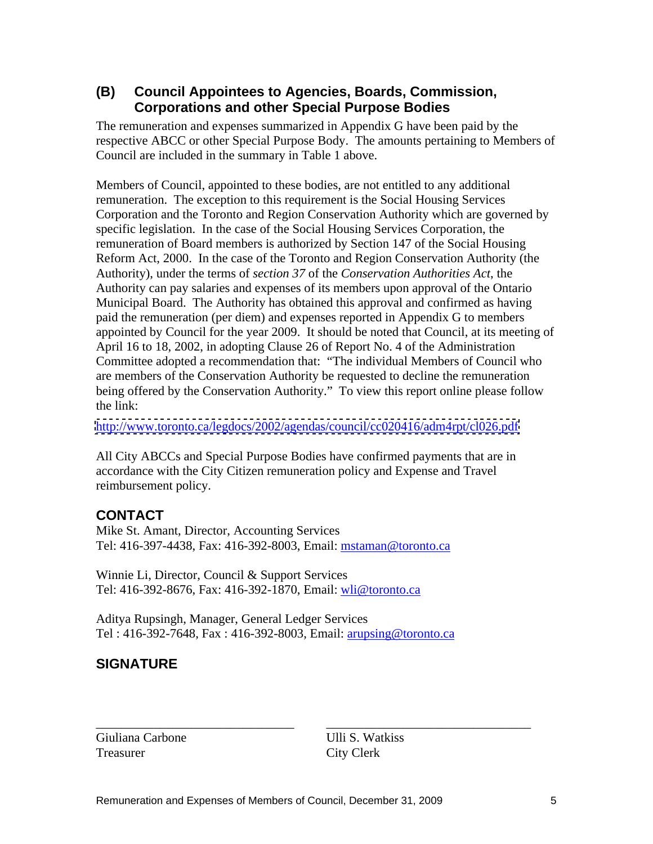### **(B) Council Appointees to Agencies, Boards, Commission, Corporations and other Special Purpose Bodies**

The remuneration and expenses summarized in Appendix G have been paid by the respective ABCC or other Special Purpose Body. The amounts pertaining to Members of Council are included in the summary in Table 1 above.

 Members of Council, appointed to these bodies, are not entitled to any additional remuneration. The exception to this requirement is the Social Housing Services Corporation and the Toronto and Region Conservation Authority which are governed by specific legislation. In the case of the Social Housing Services Corporation, the remuneration of Board members is authorized by Section 147 of the Social Housing Reform Act, 2000. In the case of the Toronto and Region Conservation Authority (the Authority), under the terms of *section 37* of the *Conservation Authorities Act*, the Authority can pay salaries and expenses of its members upon approval of the Ontario Municipal Board. The Authority has obtained this approval and confirmed as having paid the remuneration (per diem) and expenses reported in Appendix G to members appointed by Council for the year 2009. It should be noted that Council, at its meeting of April 16 to 18, 2002, in adopting Clause 26 of Report No. 4 of the Administration Committee adopted a recommendation that: "The individual Members of Council who are members of the Conservation Authority be requested to decline the remuneration being offered by the Conservation Authority." To view this report online please follow the link:

<http://www.toronto.ca/legdocs/2002/agendas/council/cc020416/adm4rpt/cl026.pdf>

All City ABCCs and Special Purpose Bodies have confirmed payments that are in accordance with the City Citizen remuneration policy and Expense and Travel reimbursement policy.

### **CONTACT**

Mike St. Amant, Director, Accounting Services Tel: 416-397-4438, Fax: 416-392-8003, Email: mstaman@toronto.ca

Winnie Li, Director, Council & Support Services Tel: 416-392-8676, Fax: 416-392-1870, Email: wli@toronto.ca

Aditya Rupsingh, Manager, General Ledger Services Tel : 416-392-7648, Fax : 416-392-8003, Email: arupsing@toronto.ca

## **SIGNATURE**

\_\_\_\_\_\_\_\_\_\_\_\_\_\_\_\_\_\_\_\_\_\_\_\_\_\_\_\_\_\_\_ \_\_\_\_\_\_\_\_\_\_\_\_\_\_\_\_\_\_\_\_\_\_\_\_\_\_\_\_\_\_\_\_ Giuliana Carbone Ulli S. Watkiss Treasurer City Clerk